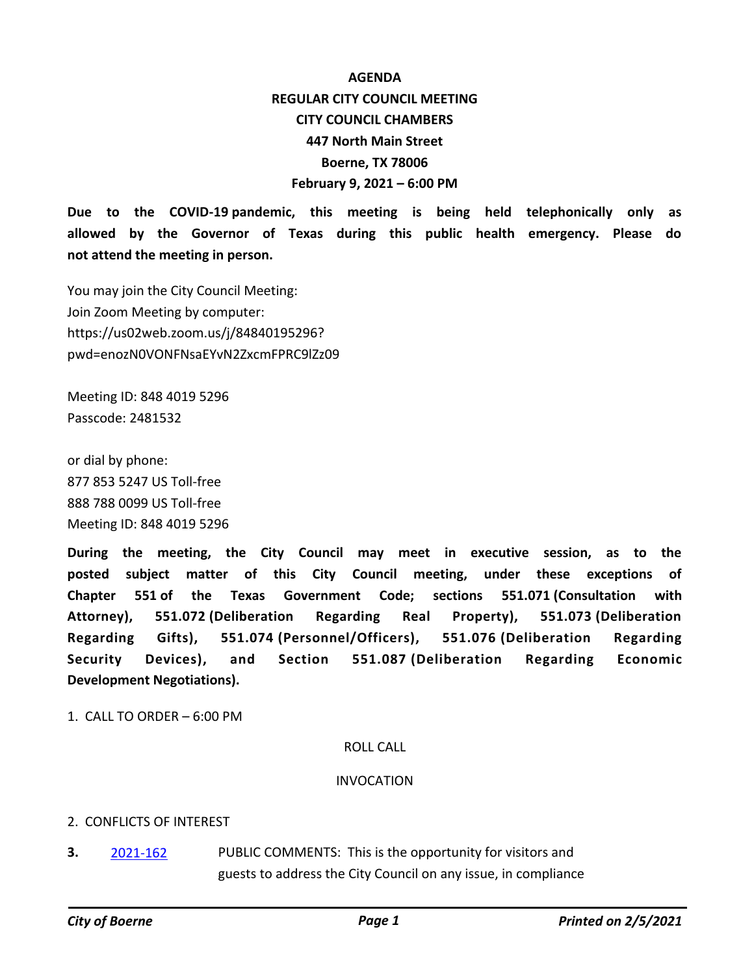# **AGENDA REGULAR CITY COUNCIL MEETING CITY COUNCIL CHAMBERS 447 North Main Street Boerne, TX 78006 February 9, 2021 – 6:00 PM**

**Due to the COVID-19 pandemic, this meeting is being held telephonically only as allowed by the Governor of Texas during this public health emergency. Please do not attend the meeting in person.**

You may join the City Council Meeting: Join Zoom Meeting by computer: https://us02web.zoom.us/j/84840195296? pwd=enozN0VONFNsaEYvN2ZxcmFPRC9lZz09

Meeting ID: 848 4019 5296 Passcode: 2481532

or dial by phone: 877 853 5247 US Toll-free 888 788 0099 US Toll-free Meeting ID: 848 4019 5296

**During the meeting, the City Council may meet in executive session, as to the posted subject matter of this City Council meeting, under these exceptions of Chapter 551 of the Texas Government Code; sections 551.071 (Consultation with Attorney), 551.072 (Deliberation Regarding Real Property), 551.073 (Deliberation Regarding Gifts), 551.074 (Personnel/Officers), 551.076 (Deliberation Regarding Security Devices), and Section 551.087 (Deliberation Regarding Economic Development Negotiations).**

1. CALL TO ORDER – 6:00 PM

#### ROLL CALL

#### INVOCATION

#### 2. CONFLICTS OF INTEREST

PUBLIC COMMENTS: This is the opportunity for visitors and guests to address the City Council on any issue, in compliance **3.** [2021-162](http://boerne.legistar.com/gateway.aspx?m=l&id=/matter.aspx?key=5734)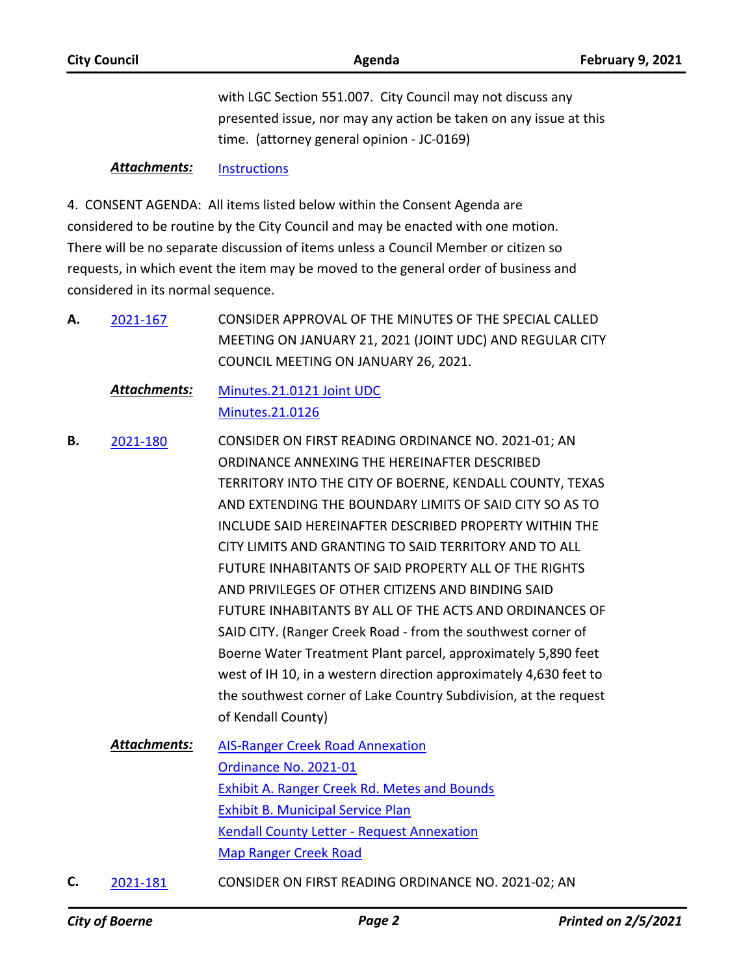| <b>City Council</b> | Agenda                                                                                                          | <b>February 9, 2021</b> |
|---------------------|-----------------------------------------------------------------------------------------------------------------|-------------------------|
|                     | with LGC Section 551.007. City Council may not discuss any                                                      |                         |
|                     | presented issue, nor may any action be taken on any issue at this<br>time. (attorney general opinion - JC-0169) |                         |
| Attachmante:        | In the function                                                                                                 |                         |

#### *Attachments:* [Instructions](http://boerne.legistar.com/gateway.aspx?M=F&ID=53dbdbc7-79b1-44dd-acca-2a7b38a5e132.pdf)

4. CONSENT AGENDA: All items listed below within the Consent Agenda are considered to be routine by the City Council and may be enacted with one motion. There will be no separate discussion of items unless a Council Member or citizen so requests, in which event the item may be moved to the general order of business and considered in its normal sequence.

- CONSIDER APPROVAL OF THE MINUTES OF THE SPECIAL CALLED MEETING ON JANUARY 21, 2021 (JOINT UDC) AND REGULAR CITY COUNCIL MEETING ON JANUARY 26, 2021. **A.** [2021-167](http://boerne.legistar.com/gateway.aspx?m=l&id=/matter.aspx?key=5739)
	- [Minutes.21.0121 Joint UDC](http://boerne.legistar.com/gateway.aspx?M=F&ID=ac267f3f-26e5-4c09-8099-1811410cc764.pdf) [Minutes.21.0126](http://boerne.legistar.com/gateway.aspx?M=F&ID=123c0f9d-b8d6-43a0-a9e0-874709cea17c.pdf) *Attachments:*
- CONSIDER ON FIRST READING ORDINANCE NO. 2021-01; AN ORDINANCE ANNEXING THE HEREINAFTER DESCRIBED TERRITORY INTO THE CITY OF BOERNE, KENDALL COUNTY, TEXAS AND EXTENDING THE BOUNDARY LIMITS OF SAID CITY SO AS TO INCLUDE SAID HEREINAFTER DESCRIBED PROPERTY WITHIN THE CITY LIMITS AND GRANTING TO SAID TERRITORY AND TO ALL FUTURE INHABITANTS OF SAID PROPERTY ALL OF THE RIGHTS AND PRIVILEGES OF OTHER CITIZENS AND BINDING SAID FUTURE INHABITANTS BY ALL OF THE ACTS AND ORDINANCES OF SAID CITY. (Ranger Creek Road - from the southwest corner of Boerne Water Treatment Plant parcel, approximately 5,890 feet west of IH 10, in a western direction approximately 4,630 feet to the southwest corner of Lake Country Subdivision, at the request of Kendall County) **B.** [2021-180](http://boerne.legistar.com/gateway.aspx?m=l&id=/matter.aspx?key=5752)
	- [AIS-Ranger Creek Road Annexation](http://boerne.legistar.com/gateway.aspx?M=F&ID=cbe1a380-f240-4715-a3ae-e1e2ce28b71c.doc) [Ordinance No. 2021-01](http://boerne.legistar.com/gateway.aspx?M=F&ID=7ca0dbfd-f624-424a-a52e-915796eccee5.doc) [Exhibit A. Ranger Creek Rd. Metes and Bounds](http://boerne.legistar.com/gateway.aspx?M=F&ID=4badf762-89d7-4101-b211-bae111048414.pdf) [Exhibit B. Municipal Service Plan](http://boerne.legistar.com/gateway.aspx?M=F&ID=ae327899-8816-441b-8cf8-c0e0d1e316a9.pdf) [Kendall County Letter - Request Annexation](http://boerne.legistar.com/gateway.aspx?M=F&ID=36378f39-58be-4031-99b7-c338907b9070.pdf) [Map Ranger Creek Road](http://boerne.legistar.com/gateway.aspx?M=F&ID=b1c17c54-0817-4e33-be26-656a56b89307.pdf) *Attachments:*
- **C.** [2021-181](http://boerne.legistar.com/gateway.aspx?m=l&id=/matter.aspx?key=5753) CONSIDER ON FIRST READING ORDINANCE NO. 2021-02; AN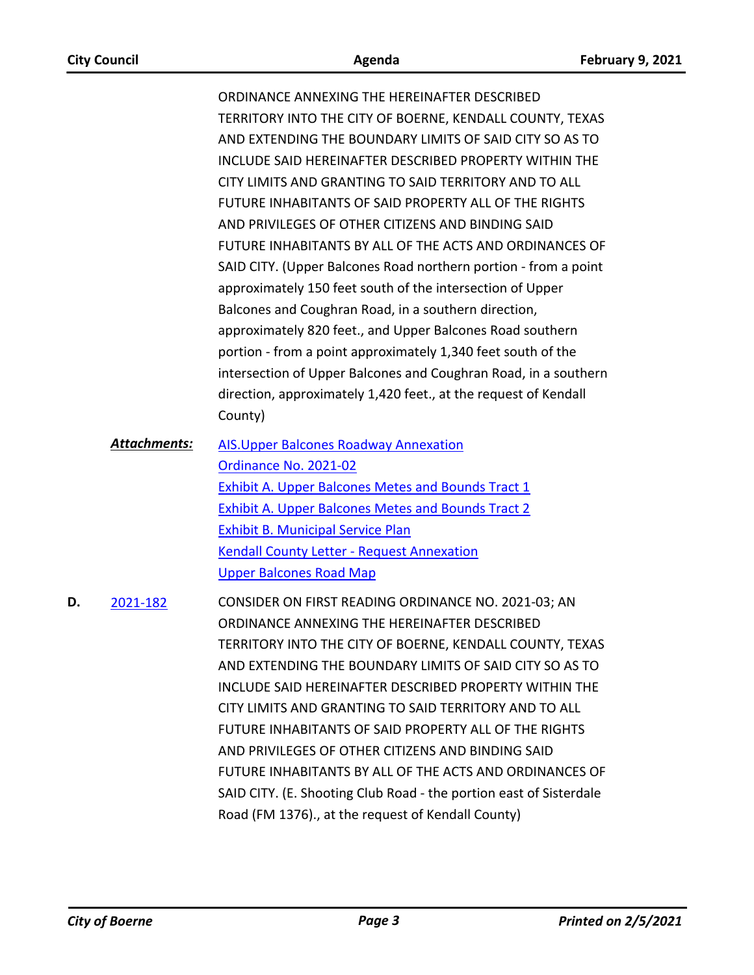ORDINANCE ANNEXING THE HEREINAFTER DESCRIBED TERRITORY INTO THE CITY OF BOERNE, KENDALL COUNTY, TEXAS AND EXTENDING THE BOUNDARY LIMITS OF SAID CITY SO AS TO INCLUDE SAID HEREINAFTER DESCRIBED PROPERTY WITHIN THE CITY LIMITS AND GRANTING TO SAID TERRITORY AND TO ALL FUTURE INHABITANTS OF SAID PROPERTY ALL OF THE RIGHTS AND PRIVILEGES OF OTHER CITIZENS AND BINDING SAID FUTURE INHABITANTS BY ALL OF THE ACTS AND ORDINANCES OF SAID CITY. (Upper Balcones Road northern portion - from a point approximately 150 feet south of the intersection of Upper Balcones and Coughran Road, in a southern direction, approximately 820 feet., and Upper Balcones Road southern portion - from a point approximately 1,340 feet south of the intersection of Upper Balcones and Coughran Road, in a southern direction, approximately 1,420 feet., at the request of Kendall County)

- [AIS.Upper Balcones Roadway Annexation](http://boerne.legistar.com/gateway.aspx?M=F&ID=cd07cdbe-a9e6-47a7-b882-10d6dfec9728.doc) [Ordinance No. 2021-02](http://boerne.legistar.com/gateway.aspx?M=F&ID=651faf48-21ac-41b5-a12d-918c9044217f.doc) **[Exhibit A. Upper Balcones Metes and Bounds Tract 1](http://boerne.legistar.com/gateway.aspx?M=F&ID=7999d59e-cc44-49fc-9b84-0fac0958e55a.pdf)** [Exhibit A. Upper Balcones Metes and Bounds Tract 2](http://boerne.legistar.com/gateway.aspx?M=F&ID=262daebc-7f98-4354-8c81-61b243e0bd55.pdf) [Exhibit B. Municipal Service Plan](http://boerne.legistar.com/gateway.aspx?M=F&ID=4a3df0ae-b0b9-4cd6-abd8-a494c1750a3d.pdf) [Kendall County Letter - Request Annexation](http://boerne.legistar.com/gateway.aspx?M=F&ID=df3bbd7e-3a01-4147-ab03-79f698930fbf.pdf) [Upper Balcones Road Map](http://boerne.legistar.com/gateway.aspx?M=F&ID=c46b3343-2f9e-490e-a4f7-833814b9a339.pdf) *Attachments:*
- CONSIDER ON FIRST READING ORDINANCE NO. 2021-03; AN ORDINANCE ANNEXING THE HEREINAFTER DESCRIBED TERRITORY INTO THE CITY OF BOERNE, KENDALL COUNTY, TEXAS AND EXTENDING THE BOUNDARY LIMITS OF SAID CITY SO AS TO INCLUDE SAID HEREINAFTER DESCRIBED PROPERTY WITHIN THE CITY LIMITS AND GRANTING TO SAID TERRITORY AND TO ALL FUTURE INHABITANTS OF SAID PROPERTY ALL OF THE RIGHTS AND PRIVILEGES OF OTHER CITIZENS AND BINDING SAID FUTURE INHABITANTS BY ALL OF THE ACTS AND ORDINANCES OF SAID CITY. (E. Shooting Club Road - the portion east of Sisterdale Road (FM 1376)., at the request of Kendall County) **D.** [2021-182](http://boerne.legistar.com/gateway.aspx?m=l&id=/matter.aspx?key=5754)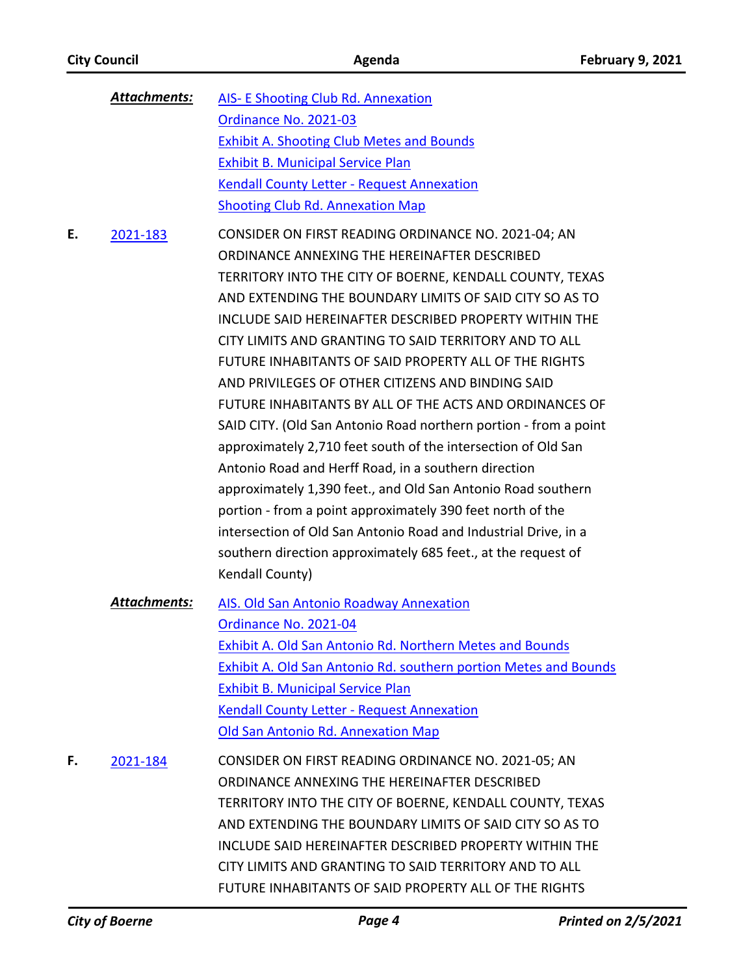|    | <b>Attachments:</b> | <b>AIS- E Shooting Club Rd. Annexation</b>                                                                                                                                                                                                                                                                                                                                                                                                                                                                                                                                                                                                                                                                                                                                                                                                                                                                                                                                                               |
|----|---------------------|----------------------------------------------------------------------------------------------------------------------------------------------------------------------------------------------------------------------------------------------------------------------------------------------------------------------------------------------------------------------------------------------------------------------------------------------------------------------------------------------------------------------------------------------------------------------------------------------------------------------------------------------------------------------------------------------------------------------------------------------------------------------------------------------------------------------------------------------------------------------------------------------------------------------------------------------------------------------------------------------------------|
|    |                     | Ordinance No. 2021-03                                                                                                                                                                                                                                                                                                                                                                                                                                                                                                                                                                                                                                                                                                                                                                                                                                                                                                                                                                                    |
|    |                     | <b>Exhibit A. Shooting Club Metes and Bounds</b>                                                                                                                                                                                                                                                                                                                                                                                                                                                                                                                                                                                                                                                                                                                                                                                                                                                                                                                                                         |
|    |                     | <b>Exhibit B. Municipal Service Plan</b>                                                                                                                                                                                                                                                                                                                                                                                                                                                                                                                                                                                                                                                                                                                                                                                                                                                                                                                                                                 |
|    |                     | <b>Kendall County Letter - Request Annexation</b>                                                                                                                                                                                                                                                                                                                                                                                                                                                                                                                                                                                                                                                                                                                                                                                                                                                                                                                                                        |
|    |                     | <b>Shooting Club Rd. Annexation Map</b>                                                                                                                                                                                                                                                                                                                                                                                                                                                                                                                                                                                                                                                                                                                                                                                                                                                                                                                                                                  |
| Е. | 2021-183            | CONSIDER ON FIRST READING ORDINANCE NO. 2021-04; AN<br>ORDINANCE ANNEXING THE HEREINAFTER DESCRIBED<br>TERRITORY INTO THE CITY OF BOERNE, KENDALL COUNTY, TEXAS<br>AND EXTENDING THE BOUNDARY LIMITS OF SAID CITY SO AS TO<br>INCLUDE SAID HEREINAFTER DESCRIBED PROPERTY WITHIN THE<br>CITY LIMITS AND GRANTING TO SAID TERRITORY AND TO ALL<br>FUTURE INHABITANTS OF SAID PROPERTY ALL OF THE RIGHTS<br>AND PRIVILEGES OF OTHER CITIZENS AND BINDING SAID<br>FUTURE INHABITANTS BY ALL OF THE ACTS AND ORDINANCES OF<br>SAID CITY. (Old San Antonio Road northern portion - from a point<br>approximately 2,710 feet south of the intersection of Old San<br>Antonio Road and Herff Road, in a southern direction<br>approximately 1,390 feet., and Old San Antonio Road southern<br>portion - from a point approximately 390 feet north of the<br>intersection of Old San Antonio Road and Industrial Drive, in a<br>southern direction approximately 685 feet., at the request of<br>Kendall County) |
|    | <b>Attachments:</b> | <b>AIS. Old San Antonio Roadway Annexation</b><br>Ordinance No. 2021-04<br>Exhibit A. Old San Antonio Rd. Northern Metes and Bounds<br><b>Exhibit A. Old San Antonio Rd. southern portion Metes and Bounds</b><br><b>Exhibit B. Municipal Service Plan</b><br><b>Kendall County Letter - Request Annexation</b><br>Old San Antonio Rd. Annexation Map                                                                                                                                                                                                                                                                                                                                                                                                                                                                                                                                                                                                                                                    |
| F. | 2021-184            | CONSIDER ON FIRST READING ORDINANCE NO. 2021-05; AN<br>ORDINANCE ANNEXING THE HEREINAFTER DESCRIBED<br>TERRITORY INTO THE CITY OF BOERNE, KENDALL COUNTY, TEXAS<br>AND EXTENDING THE BOUNDARY LIMITS OF SAID CITY SO AS TO<br>INCLUDE SAID HEREINAFTER DESCRIBED PROPERTY WITHIN THE<br>CITY LIMITS AND GRANTING TO SAID TERRITORY AND TO ALL<br>FUTURE INHABITANTS OF SAID PROPERTY ALL OF THE RIGHTS                                                                                                                                                                                                                                                                                                                                                                                                                                                                                                                                                                                                   |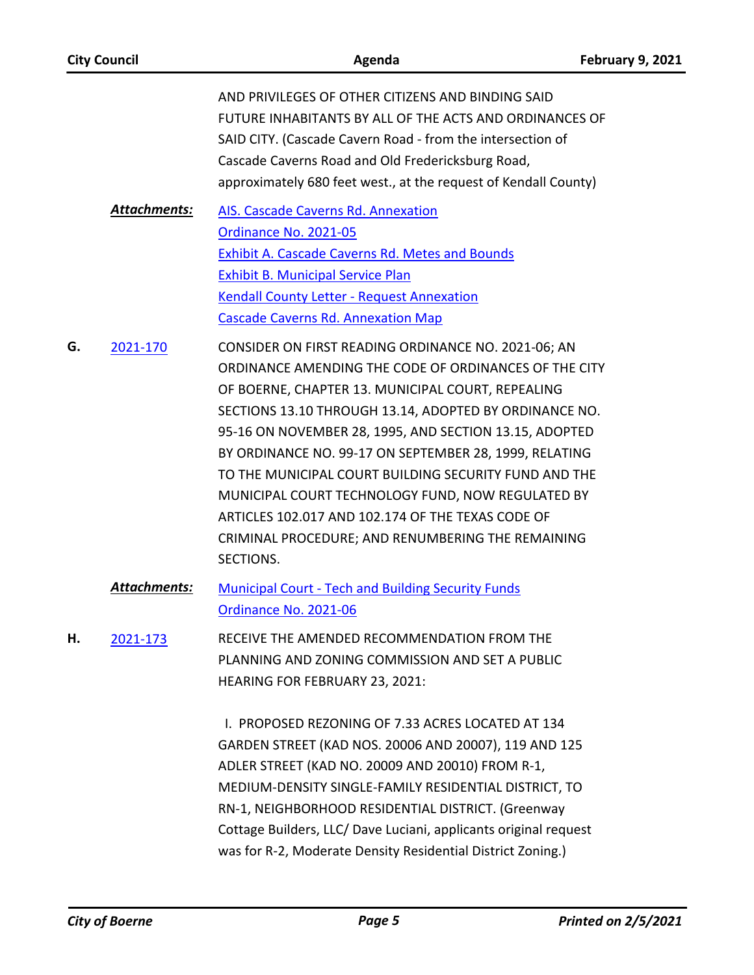| <b>City Council</b> |                     | Agenda                                                                                                                                                                                                                                                                                                                                                                                                                                                                                                                                                                               | <b>February 9, 2021</b> |
|---------------------|---------------------|--------------------------------------------------------------------------------------------------------------------------------------------------------------------------------------------------------------------------------------------------------------------------------------------------------------------------------------------------------------------------------------------------------------------------------------------------------------------------------------------------------------------------------------------------------------------------------------|-------------------------|
|                     |                     | AND PRIVILEGES OF OTHER CITIZENS AND BINDING SAID<br>FUTURE INHABITANTS BY ALL OF THE ACTS AND ORDINANCES OF<br>SAID CITY. (Cascade Cavern Road - from the intersection of<br>Cascade Caverns Road and Old Fredericksburg Road,<br>approximately 680 feet west., at the request of Kendall County)                                                                                                                                                                                                                                                                                   |                         |
|                     | <b>Attachments:</b> | AIS. Cascade Caverns Rd. Annexation<br>Ordinance No. 2021-05<br><b>Exhibit A. Cascade Caverns Rd. Metes and Bounds</b><br><b>Exhibit B. Municipal Service Plan</b><br><b>Kendall County Letter - Request Annexation</b><br><b>Cascade Caverns Rd. Annexation Map</b>                                                                                                                                                                                                                                                                                                                 |                         |
| G.                  | 2021-170            | CONSIDER ON FIRST READING ORDINANCE NO. 2021-06; AN<br>ORDINANCE AMENDING THE CODE OF ORDINANCES OF THE CITY<br>OF BOERNE, CHAPTER 13. MUNICIPAL COURT, REPEALING<br>SECTIONS 13.10 THROUGH 13.14, ADOPTED BY ORDINANCE NO.<br>95-16 ON NOVEMBER 28, 1995, AND SECTION 13.15, ADOPTED<br>BY ORDINANCE NO. 99-17 ON SEPTEMBER 28, 1999, RELATING<br>TO THE MUNICIPAL COURT BUILDING SECURITY FUND AND THE<br>MUNICIPAL COURT TECHNOLOGY FUND, NOW REGULATED BY<br>ARTICLES 102.017 AND 102.174 OF THE TEXAS CODE OF<br>CRIMINAL PROCEDURE; AND RENUMBERING THE REMAINING<br>SECTIONS. |                         |
|                     | <b>Attachments:</b> | <b>Municipal Court - Tech and Building Security Funds</b><br>Ordinance No. 2021-06                                                                                                                                                                                                                                                                                                                                                                                                                                                                                                   |                         |
| Н.                  | 2021-173            | RECEIVE THE AMENDED RECOMMENDATION FROM THE<br>PLANNING AND ZONING COMMISSION AND SET A PUBLIC<br><b>HEARING FOR FEBRUARY 23, 2021:</b>                                                                                                                                                                                                                                                                                                                                                                                                                                              |                         |
|                     |                     | I. PROPOSED REZONING OF 7.33 ACRES LOCATED AT 134<br>GARDEN STREET (KAD NOS. 20006 AND 20007), 119 AND 125<br>ADLER STREET (KAD NO. 20009 AND 20010) FROM R-1,<br>MEDIUM-DENSITY SINGLE-FAMILY RESIDENTIAL DISTRICT, TO<br>RN-1, NEIGHBORHOOD RESIDENTIAL DISTRICT. (Greenway<br>Cottage Builders, LLC/ Dave Luciani, applicants original request<br>was for R-2, Moderate Density Residential District Zoning.)                                                                                                                                                                     |                         |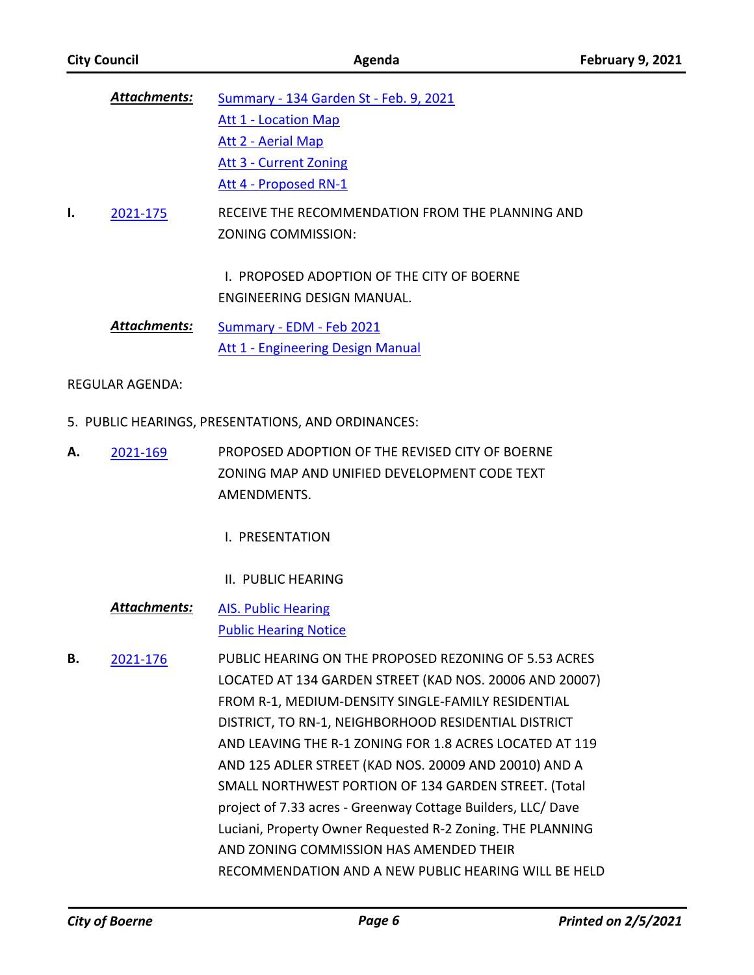| <b>Attachments:</b> |                     | Summary - 134 Garden St - Feb. 9, 2021                                   |  |
|---------------------|---------------------|--------------------------------------------------------------------------|--|
|                     |                     | <b>Att 1 - Location Map</b>                                              |  |
|                     |                     | Att 2 - Aerial Map                                                       |  |
|                     |                     | Att 3 - Current Zoning                                                   |  |
|                     |                     | Att 4 - Proposed RN-1                                                    |  |
| ı.                  | 2021-175            | RECEIVE THE RECOMMENDATION FROM THE PLANNING AND<br>ZONING COMMISSION:   |  |
|                     |                     | L. PROPOSED ADOPTION OF THE CITY OF BOERNE<br>ENGINEERING DESIGN MANUAL. |  |
|                     | <b>Attachments:</b> | Summary - EDM - Feb 2021                                                 |  |
|                     |                     | Att 1 - Engineering Design Manual                                        |  |

REGULAR AGENDA:

- 5. PUBLIC HEARINGS, PRESENTATIONS, AND ORDINANCES:
- PROPOSED ADOPTION OF THE REVISED CITY OF BOERNE ZONING MAP AND UNIFIED DEVELOPMENT CODE TEXT AMENDMENTS. **A.** [2021-169](http://boerne.legistar.com/gateway.aspx?m=l&id=/matter.aspx?key=5741)
	- I. PRESENTATION
	- II. PUBLIC HEARING
	- [AIS. Public Hearing](http://boerne.legistar.com/gateway.aspx?M=F&ID=0b2f4994-b76e-4f6e-bc76-1f8d6d8c513e.doc) [Public Hearing Notice](http://boerne.legistar.com/gateway.aspx?M=F&ID=c344c600-b077-40da-b4ac-a2d72f6177c1.pdf) *Attachments:*

PUBLIC HEARING ON THE PROPOSED REZONING OF 5.53 ACRES LOCATED AT 134 GARDEN STREET (KAD NOS. 20006 AND 20007) FROM R-1, MEDIUM-DENSITY SINGLE-FAMILY RESIDENTIAL DISTRICT, TO RN-1, NEIGHBORHOOD RESIDENTIAL DISTRICT AND LEAVING THE R-1 ZONING FOR 1.8 ACRES LOCATED AT 119 AND 125 ADLER STREET (KAD NOS. 20009 AND 20010) AND A SMALL NORTHWEST PORTION OF 134 GARDEN STREET. (Total project of 7.33 acres - Greenway Cottage Builders, LLC/ Dave Luciani, Property Owner Requested R-2 Zoning. THE PLANNING AND ZONING COMMISSION HAS AMENDED THEIR RECOMMENDATION AND A NEW PUBLIC HEARING WILL BE HELD **B.** [2021-176](http://boerne.legistar.com/gateway.aspx?m=l&id=/matter.aspx?key=5748)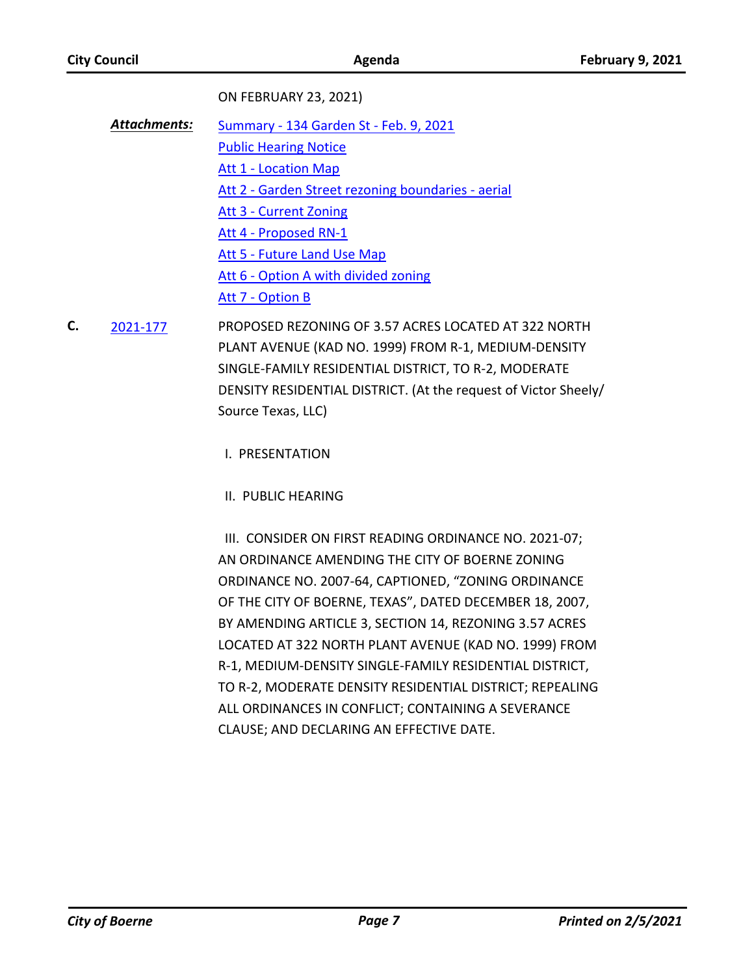ON FEBRUARY 23, 2021)

- [Summary 134 Garden St Feb. 9, 2021](http://boerne.legistar.com/gateway.aspx?M=F&ID=396d4b2f-49e3-49ad-81e5-9aa5d137d6a2.doc) [Public Hearing Notice](http://boerne.legistar.com/gateway.aspx?M=F&ID=ef4b39e9-9e12-40e0-b284-bff09633a135.pdf) [Att 1 - Location Map](http://boerne.legistar.com/gateway.aspx?M=F&ID=6c5b694f-95b3-4c83-aa3a-d848fa4324fd.pdf) [Att 2 - Garden Street rezoning boundaries - aerial](http://boerne.legistar.com/gateway.aspx?M=F&ID=afc8f17e-64c4-4941-b1dc-3ee3d4b299dd.pdf) [Att 3 - Current Zoning](http://boerne.legistar.com/gateway.aspx?M=F&ID=44bca12e-2e76-4743-bff8-48c4b83d36f1.pdf) [Att 4 - Proposed RN-1](http://boerne.legistar.com/gateway.aspx?M=F&ID=bfef12f4-6f11-4329-9167-a102e26afb86.pdf) [Att 5 - Future Land Use Map](http://boerne.legistar.com/gateway.aspx?M=F&ID=664f139a-6634-4e0d-a4e8-8e6a905fb698.pdf) [Att 6 - Option A with divided zoning](http://boerne.legistar.com/gateway.aspx?M=F&ID=8e5065b8-11ea-4bdd-84bd-0421ebcaf339.pdf) [Att 7 - Option B](http://boerne.legistar.com/gateway.aspx?M=F&ID=fc9e6bec-d747-48ca-97e1-4e9ef7308962.pdf) *Attachments:*
- PROPOSED REZONING OF 3.57 ACRES LOCATED AT 322 NORTH PLANT AVENUE (KAD NO. 1999) FROM R-1, MEDIUM-DENSITY SINGLE-FAMILY RESIDENTIAL DISTRICT, TO R-2, MODERATE DENSITY RESIDENTIAL DISTRICT. (At the request of Victor Sheely/ Source Texas, LLC) **C.** [2021-177](http://boerne.legistar.com/gateway.aspx?m=l&id=/matter.aspx?key=5749)

I. PRESENTATION

II. PUBLIC HEARING

 III. CONSIDER ON FIRST READING ORDINANCE NO. 2021-07; AN ORDINANCE AMENDING THE CITY OF BOERNE ZONING ORDINANCE NO. 2007-64, CAPTIONED, "ZONING ORDINANCE OF THE CITY OF BOERNE, TEXAS", DATED DECEMBER 18, 2007, BY AMENDING ARTICLE 3, SECTION 14, REZONING 3.57 ACRES LOCATED AT 322 NORTH PLANT AVENUE (KAD NO. 1999) FROM R-1, MEDIUM-DENSITY SINGLE-FAMILY RESIDENTIAL DISTRICT, TO R-2, MODERATE DENSITY RESIDENTIAL DISTRICT; REPEALING ALL ORDINANCES IN CONFLICT; CONTAINING A SEVERANCE CLAUSE; AND DECLARING AN EFFECTIVE DATE.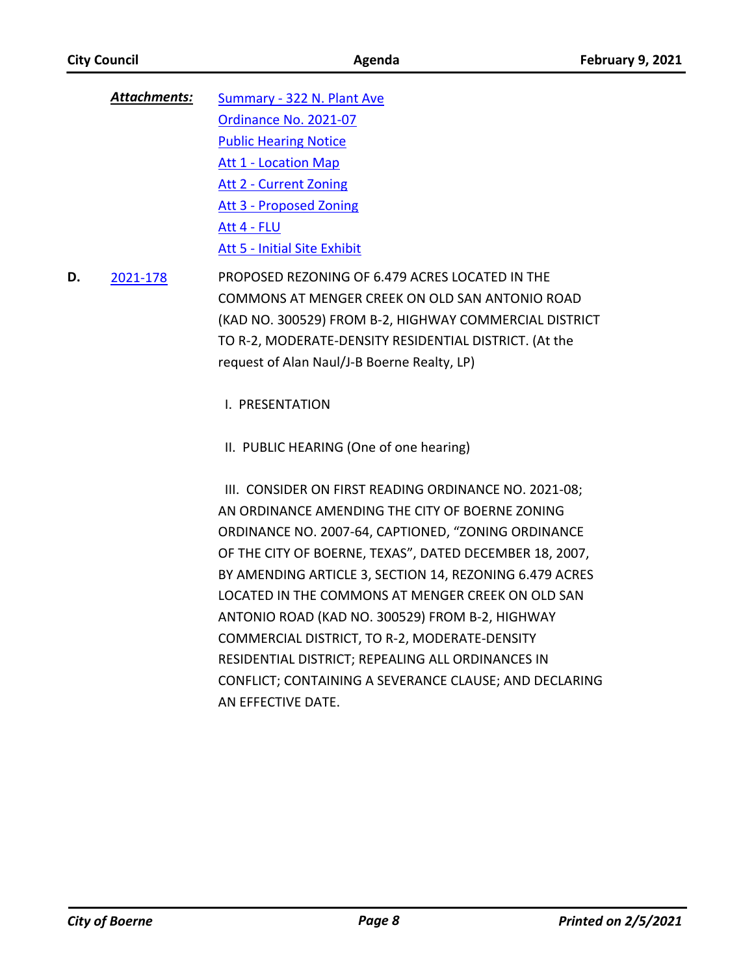- [Summary 322 N. Plant Ave](http://boerne.legistar.com/gateway.aspx?M=F&ID=0dc8cbe2-f91e-4da9-8f0f-3af10449b1c2.doc) [Ordinance No. 2021-07](http://boerne.legistar.com/gateway.aspx?M=F&ID=d26c3dd6-3d69-4587-8636-817d25e270da.docx) [Public Hearing Notice](http://boerne.legistar.com/gateway.aspx?M=F&ID=8b1414dd-f471-4cda-b13d-e268bda68bb9.pdf) [Att 1 - Location Map](http://boerne.legistar.com/gateway.aspx?M=F&ID=e5ea8f55-a2e7-4428-83f5-3175e36199dd.pdf) [Att 2 - Current Zoning](http://boerne.legistar.com/gateway.aspx?M=F&ID=218ea483-d8a5-4ec7-99c5-fb1df4177216.pdf) [Att 3 - Proposed Zoning](http://boerne.legistar.com/gateway.aspx?M=F&ID=b4ade89c-1038-45dd-9292-190f8a3b7d59.pdf) [Att 4 - FLU](http://boerne.legistar.com/gateway.aspx?M=F&ID=51f07d83-bc2c-475f-aef0-c57f4737d753.pdf) [Att 5 - Initial Site Exhibit](http://boerne.legistar.com/gateway.aspx?M=F&ID=90b14f0d-d99b-4596-bd79-e21897f3d967.pdf) *Attachments:*
- PROPOSED REZONING OF 6.479 ACRES LOCATED IN THE COMMONS AT MENGER CREEK ON OLD SAN ANTONIO ROAD (KAD NO. 300529) FROM B-2, HIGHWAY COMMERCIAL DISTRICT TO R-2, MODERATE-DENSITY RESIDENTIAL DISTRICT. (At the request of Alan Naul/J-B Boerne Realty, LP) **D.** [2021-178](http://boerne.legistar.com/gateway.aspx?m=l&id=/matter.aspx?key=5750)

I. PRESENTATION

II. PUBLIC HEARING (One of one hearing)

 III. CONSIDER ON FIRST READING ORDINANCE NO. 2021-08; AN ORDINANCE AMENDING THE CITY OF BOERNE ZONING ORDINANCE NO. 2007-64, CAPTIONED, "ZONING ORDINANCE OF THE CITY OF BOERNE, TEXAS", DATED DECEMBER 18, 2007, BY AMENDING ARTICLE 3, SECTION 14, REZONING 6.479 ACRES LOCATED IN THE COMMONS AT MENGER CREEK ON OLD SAN ANTONIO ROAD (KAD NO. 300529) FROM B-2, HIGHWAY COMMERCIAL DISTRICT, TO R-2, MODERATE-DENSITY RESIDENTIAL DISTRICT; REPEALING ALL ORDINANCES IN CONFLICT; CONTAINING A SEVERANCE CLAUSE; AND DECLARING AN EFFECTIVE DATE.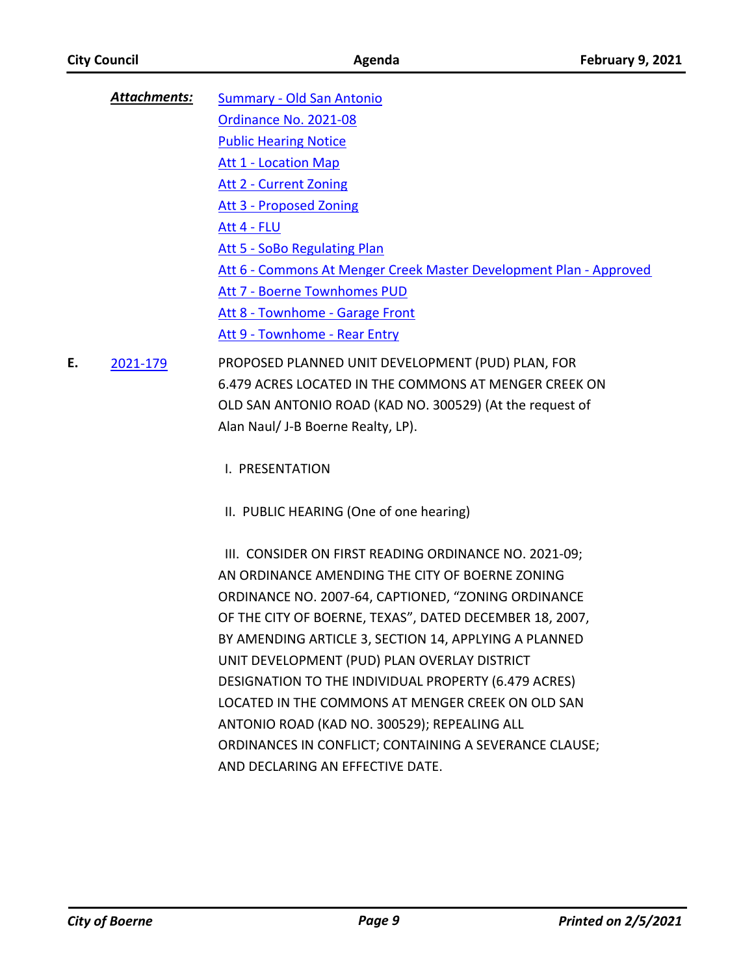- [Summary Old San Antonio](http://boerne.legistar.com/gateway.aspx?M=F&ID=8f59d20f-5b46-4eff-9f0b-cb27ba563092.doc) [Ordinance No. 2021-08](http://boerne.legistar.com/gateway.aspx?M=F&ID=bb52ba45-e659-4147-b04b-eef2ba5cad60.docx) [Public Hearing Notice](http://boerne.legistar.com/gateway.aspx?M=F&ID=16c23086-a0c3-4baa-9b8d-872e793c732c.pdf) [Att 1 - Location Map](http://boerne.legistar.com/gateway.aspx?M=F&ID=14e63c36-ed1d-4118-869d-5349e571c75e.pdf) [Att 2 - Current Zoning](http://boerne.legistar.com/gateway.aspx?M=F&ID=4375737c-ccaf-4c4c-8fa2-3fac772a6a5d.pdf) [Att 3 - Proposed Zoning](http://boerne.legistar.com/gateway.aspx?M=F&ID=7de92991-eca0-4334-a932-59c6c6af3272.pdf) [Att 4 - FLU](http://boerne.legistar.com/gateway.aspx?M=F&ID=a35562fc-5915-43f1-bdbd-a15f096fcca0.pdf) [Att 5 - SoBo Regulating Plan](http://boerne.legistar.com/gateway.aspx?M=F&ID=83f27d01-7e62-4a5f-b158-856dff424941.pdf) Att 6 - Commons At Menger Creek Master Development Plan - Approved [Att 7 - Boerne Townhomes PUD](http://boerne.legistar.com/gateway.aspx?M=F&ID=b351c651-257f-4f5f-a0b7-721ae95de35f.pdf) [Att 8 - Townhome - Garage Front](http://boerne.legistar.com/gateway.aspx?M=F&ID=024a26ee-64f1-4c78-a896-2280fe6aa1a1.pdf) [Att 9 - Townhome - Rear Entry](http://boerne.legistar.com/gateway.aspx?M=F&ID=e91777e9-3d8e-4d8b-ba35-aaf68c2f4924.pdf) *Attachments:*
- PROPOSED PLANNED UNIT DEVELOPMENT (PUD) PLAN, FOR 6.479 ACRES LOCATED IN THE COMMONS AT MENGER CREEK ON OLD SAN ANTONIO ROAD (KAD NO. 300529) (At the request of Alan Naul/ J-B Boerne Realty, LP). **E.** [2021-179](http://boerne.legistar.com/gateway.aspx?m=l&id=/matter.aspx?key=5751)
	- I. PRESENTATION
	- II. PUBLIC HEARING (One of one hearing)

 III. CONSIDER ON FIRST READING ORDINANCE NO. 2021-09; AN ORDINANCE AMENDING THE CITY OF BOERNE ZONING ORDINANCE NO. 2007-64, CAPTIONED, "ZONING ORDINANCE OF THE CITY OF BOERNE, TEXAS", DATED DECEMBER 18, 2007, BY AMENDING ARTICLE 3, SECTION 14, APPLYING A PLANNED UNIT DEVELOPMENT (PUD) PLAN OVERLAY DISTRICT DESIGNATION TO THE INDIVIDUAL PROPERTY (6.479 ACRES) LOCATED IN THE COMMONS AT MENGER CREEK ON OLD SAN ANTONIO ROAD (KAD NO. 300529); REPEALING ALL ORDINANCES IN CONFLICT; CONTAINING A SEVERANCE CLAUSE; AND DECLARING AN EFFECTIVE DATE.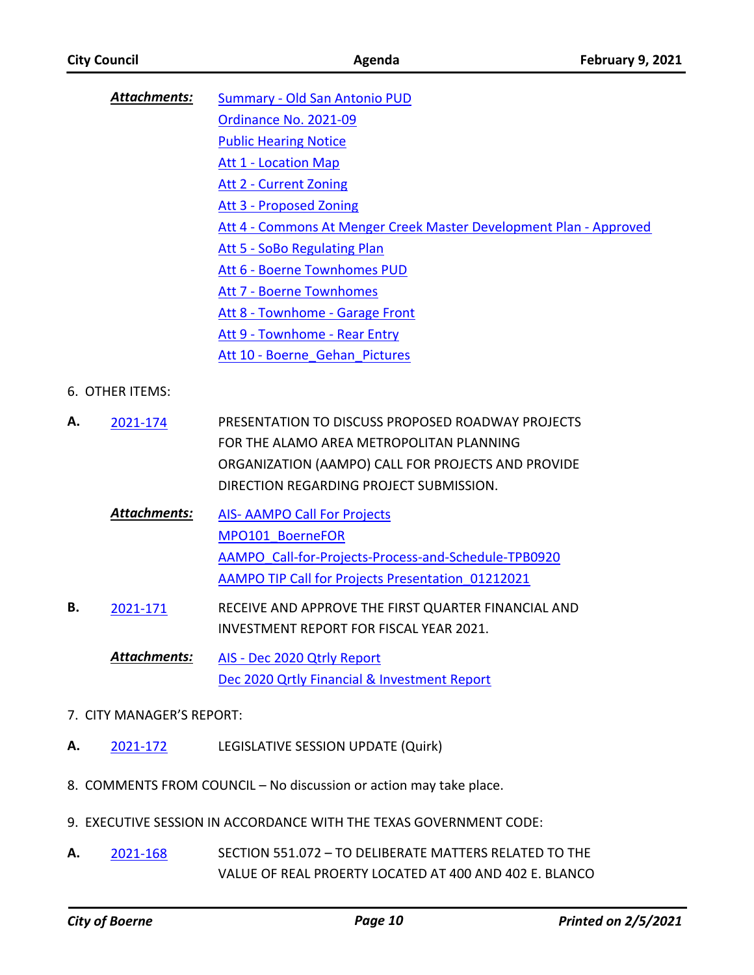|                           | <b>Attachments:</b> | Summary - Old San Antonio PUD                                               |
|---------------------------|---------------------|-----------------------------------------------------------------------------|
|                           |                     | Ordinance No. 2021-09                                                       |
|                           |                     | <b>Public Hearing Notice</b>                                                |
|                           |                     | <b>Att 1 - Location Map</b>                                                 |
|                           |                     | <b>Att 2 - Current Zoning</b>                                               |
|                           |                     | <b>Att 3 - Proposed Zoning</b>                                              |
|                           |                     | Att 4 - Commons At Menger Creek Master Development Plan - Approved          |
|                           |                     | Att 5 - SoBo Regulating Plan                                                |
|                           |                     | Att 6 - Boerne Townhomes PUD                                                |
|                           |                     | <b>Att 7 - Boerne Townhomes</b>                                             |
|                           |                     | Att 8 - Townhome - Garage Front                                             |
|                           |                     | Att 9 - Townhome - Rear Entry                                               |
|                           |                     | Att 10 - Boerne Gehan Pictures                                              |
|                           | 6. OTHER ITEMS:     |                                                                             |
| А.                        | 2021-174            | PRESENTATION TO DISCUSS PROPOSED ROADWAY PROJECTS                           |
|                           |                     | FOR THE ALAMO AREA METROPOLITAN PLANNING                                    |
|                           |                     | ORGANIZATION (AAMPO) CALL FOR PROJECTS AND PROVIDE                          |
|                           |                     | DIRECTION REGARDING PROJECT SUBMISSION.                                     |
|                           | <u>Attachments:</u> | <b>AIS- AAMPO Call For Projects</b>                                         |
|                           |                     | MPO101 BoerneFOR                                                            |
|                           |                     | AAMPO Call-for-Projects-Process-and-Schedule-TPB0920                        |
|                           |                     | AAMPO TIP Call for Projects Presentation 01212021                           |
| В.                        | 2021-171            | RECEIVE AND APPROVE THE FIRST QUARTER FINANCIAL AND                         |
|                           |                     | <b>INVESTMENT REPORT FOR FISCAL YEAR 2021.</b>                              |
|                           | Attachments:        |                                                                             |
|                           |                     | AIS - Dec 2020 Qtrly Report<br>Dec 2020 Qrtly Financial & Investment Report |
|                           |                     |                                                                             |
| 7. CITY MANAGER'S REPORT: |                     |                                                                             |
| А.                        | 2021-172            | LEGISLATIVE SESSION UPDATE (Quirk)                                          |

- 8. COMMENTS FROM COUNCIL No discussion or action may take place.
- 9. EXECUTIVE SESSION IN ACCORDANCE WITH THE TEXAS GOVERNMENT CODE:
- SECTION 551.072 TO DELIBERATE MATTERS RELATED TO THE VALUE OF REAL PROERTY LOCATED AT 400 AND 402 E. BLANCO **A.** [2021-168](http://boerne.legistar.com/gateway.aspx?m=l&id=/matter.aspx?key=5740)